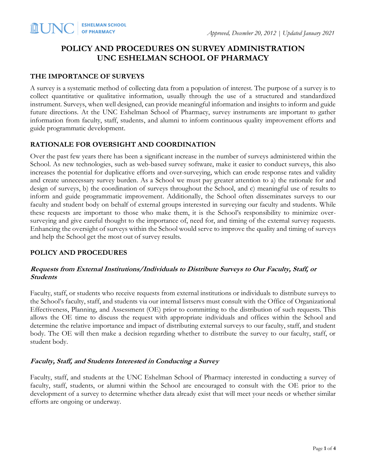# **POLICY AND PROCEDURES ON SURVEY ADMINISTRATION UNC ESHELMAN SCHOOL OF PHARMACY**

### **THE IMPORTANCE OF SURVEYS**

A survey is a systematic method of collecting data from a population of interest. The purpose of a survey is to collect quantitative or qualitative information, usually through the use of a structured and standardized instrument. Surveys, when well designed, can provide meaningful information and insights to inform and guide future directions. At the UNC Eshelman School of Pharmacy, survey instruments are important to gather information from faculty, staff, students, and alumni to inform continuous quality improvement efforts and guide programmatic development.

# **RATIONALE FOR OVERSIGHT AND COORDINATION**

Over the past few years there has been a significant increase in the number of surveys administered within the School. As new technologies, such as web-based survey software, make it easier to conduct surveys, this also increases the potential for duplicative efforts and over-surveying, which can erode response rates and validity and create unnecessary survey burden. As a School we must pay greater attention to a) the rationale for and design of surveys, b) the coordination of surveys throughout the School, and c) meaningful use of results to inform and guide programmatic improvement. Additionally, the School often disseminates surveys to our faculty and student body on behalf of external groups interested in surveying our faculty and students. While these requests are important to those who make them, it is the School's responsibility to minimize oversurveying and give careful thought to the importance of, need for, and timing of the external survey requests. Enhancing the oversight of surveys within the School would serve to improve the quality and timing of surveys and help the School get the most out of survey results.

#### **POLICY AND PROCEDURES**

### **Requests from External Institutions/Individuals to Distribute Surveys to Our Faculty, Staff, or Students**

Faculty, staff, or students who receive requests from external institutions or individuals to distribute surveys to the School's faculty, staff, and students via our internal listservs must consult with the Office of Organizational Effectiveness, Planning, and Assessment (OE) prior to committing to the distribution of such requests. This allows the OE time to discuss the request with appropriate individuals and offices within the School and determine the relative importance and impact of distributing external surveys to our faculty, staff, and student body. The OE will then make a decision regarding whether to distribute the survey to our faculty, staff, or student body.

#### **Faculty, Staff, and Students Interested in Conducting a Survey**

Faculty, staff, and students at the UNC Eshelman School of Pharmacy interested in conducting a survey of faculty, staff, students, or alumni within the School are encouraged to consult with the OE prior to the development of a survey to determine whether data already exist that will meet your needs or whether similar efforts are ongoing or underway.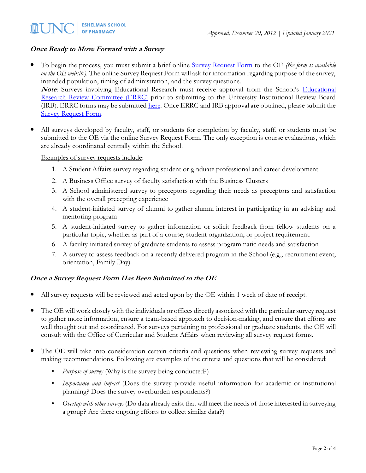## **Once Ready to Move Forward with a Survey**

- To begin the process, you must submit a brief online [Survey Request Form](https://unc.az1.qualtrics.com/jfe/form/SV_a3im0pjLKDwWWjP) to the OE *(the form is available on the OE website)*. The online Survey Request Form will ask for information regarding purpose of the survey, intended population, timing of administration, and the survey questions. **Note:** Surveys involving [Educational](https://faopharmacy.unc.edu/files/2015/05/Educational_Research_Policy_-_Procedures_April_2015.pdf) Research must receive approval from the School's Educational [Research Review Committee \(ERRC\)](https://faopharmacy.unc.edu/files/2015/05/Educational_Research_Policy_-_Procedures_April_2015.pdf) prior to submitting to the University Institutional Review Board (IRB). ERRC forms may be submitted [here.](https://unc.az1.qualtrics.com/jfe/form/SV_2ugPTRI2I7awmJn?Q_JFE=qdg) Once ERRC and IRB approval are obtained, please submit the [Survey Request Form.](https://unc.az1.qualtrics.com/jfe/form/SV_a3im0pjLKDwWWjP)
- All surveys developed by faculty, staff, or students for completion by faculty, staff, or students must be submitted to the OE via the online Survey Request Form. The only exception is course evaluations, which are already coordinated centrally within the School.

Examples of survey requests include:

- 1. A Student Affairs survey regarding student or graduate professional and career development
- 2. A Business Office survey of faculty satisfaction with the Business Clusters
- 3. A School administered survey to preceptors regarding their needs as preceptors and satisfaction with the overall precepting experience
- 4. A student-initiated survey of alumni to gather alumni interest in participating in an advising and mentoring program
- 5. A student-initiated survey to gather information or solicit feedback from fellow students on a particular topic, whether as part of a course, student organization, or project requirement.
- 6. A faculty-initiated survey of graduate students to assess programmatic needs and satisfaction
- 7. A survey to assess feedback on a recently delivered program in the School (e.g., recruitment event, orientation, Family Day).

#### **Once a Survey Request Form Has Been Submitted to the OE**

- All survey requests will be reviewed and acted upon by the OE within 1 week of date of receipt.
- The OE will work closely with the individuals or offices directly associated with the particular survey request to gather more information, ensure a team-based approach to decision-making, and ensure that efforts are well thought out and coordinated. For surveys pertaining to professional or graduate students, the OE will consult with the Office of Curricular and Student Affairs when reviewing all survey request forms.
- The OE will take into consideration certain criteria and questions when reviewing survey requests and making recommendations. Following are examples of the criteria and questions that will be considered:
	- Purpose of survey (Why is the survey being conducted?)
	- *Importance and impact* (Does the survey provide useful information for academic or institutional planning? Does the survey overburden respondents?)
	- *Overlap with other surveys* (Do data already exist that will meet the needs of those interested in surveying a group? Are there ongoing efforts to collect similar data?)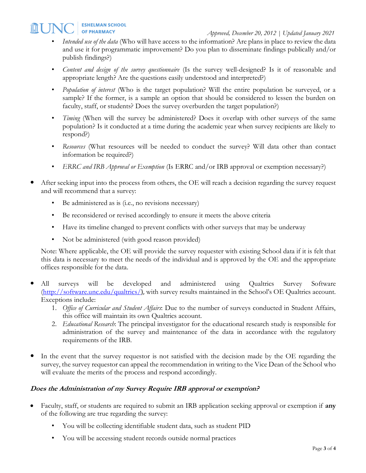- *Intended use of the data* (Who will have access to the information? Are plans in place to review the data and use it for programmatic improvement? Do you plan to disseminate findings publically and/or publish findings?)
- *Content and design of the survey questionnaire* (Is the survey well-designed? Is it of reasonable and appropriate length? Are the questions easily understood and interpreted?)
- *Population of interest* (Who is the target population? Will the entire population be surveyed, or a sample? If the former, is a sample an option that should be considered to lessen the burden on faculty, staff, or students? Does the survey overburden the target population?)
- *Timing* (When will the survey be administered? Does it overlap with other surveys of the same population? Is it conducted at a time during the academic year when survey recipients are likely to respond?)
- *Resources* (What resources will be needed to conduct the survey? Will data other than contact information be required?)
- *ERRC and IRB Approval or Exemption* (Is ERRC and/or IRB approval or exemption necessary?)
- After seeking input into the process from others, the OE will reach a decision regarding the survey request and will recommend that a survey:
	- Be administered as is (i.e., no revisions necessary)
	- Be reconsidered or revised accordingly to ensure it meets the above criteria
	- Have its timeline changed to prevent conflicts with other surveys that may be underway
	- Not be administered (with good reason provided)

Note: Where applicable, the OE will provide the survey requester with existing School data if it is felt that this data is necessary to meet the needs of the individual and is approved by the OE and the appropriate offices responsible for the data.

- All surveys will be developed and administered using Qualtrics Survey Software [\(http://software.unc.edu/qualtrics/](http://software.unc.edu/qualtrics/)), with survey results maintained in the School's OE Qualtrics account. Exceptions include:
	- 1. *Office of Curricular and Student Affairs*: Due to the number of surveys conducted in Student Affairs, this office will maintain its own Qualtrics account.
	- 2. *Educational Research*: The principal investigator for the educational research study is responsible for administration of the survey and maintenance of the data in accordance with the regulatory requirements of the IRB.
- In the event that the survey requestor is not satisfied with the decision made by the OE regarding the survey, the survey requestor can appeal the recommendation in writing to the Vice Dean of the School who will evaluate the merits of the process and respond accordingly.

## **Does the Administration of my Survey Require IRB approval or exemption?**

- Faculty, staff, or students are required to submit an IRB application seeking approval or exemption if **any** of the following are true regarding the survey:
	- You will be collecting identifiable student data, such as student PID
	- You will be accessing student records outside normal practices